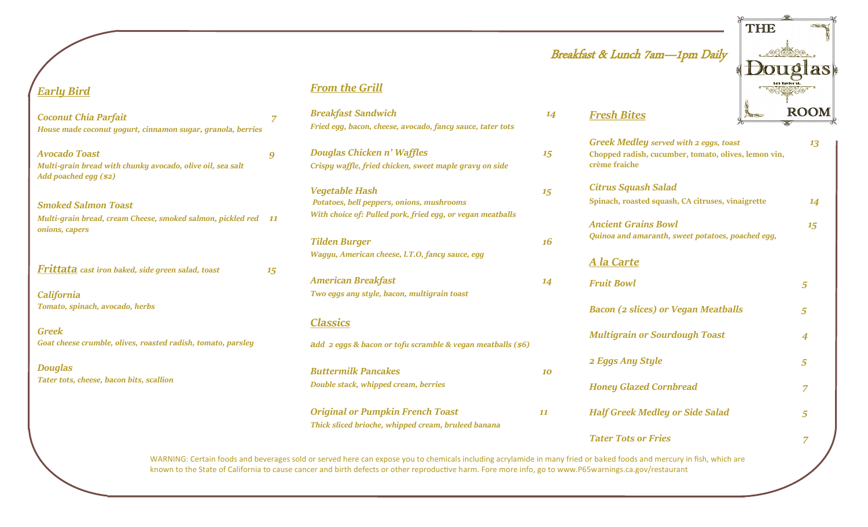# Breakfast & Lunch 7am—1pm Daily

*Fresh Bites* 



| <b>Greek Medley served with 2 eggs, toast</b><br>Chopped radish, cucumber, tomato, olives, lemon vin,<br>crème fraiche | 13 |
|------------------------------------------------------------------------------------------------------------------------|----|
| <b>Citrus Squash Salad</b>                                                                                             |    |
| Spinach, roasted squash, CA citruses, vinaigrette                                                                      | 14 |
| <b>Ancient Grains Bowl</b>                                                                                             | 15 |
| Quinoa and amaranth, sweet potatoes, poached egg,                                                                      |    |
| <u>A la Carte</u>                                                                                                      |    |
| <b>Fruit Bowl</b>                                                                                                      | 5  |
| <b>Bacon (2 slices) or Vegan Meatballs</b>                                                                             | 5  |
| <b>Multigrain or Sourdough Toast</b>                                                                                   | 4  |
| 2 Eggs Any Style                                                                                                       | 5  |
| <b>Honey Glazed Cornbread</b>                                                                                          | 7  |
| <b>Half Greek Medley or Side Salad</b>                                                                                 | 5  |
| <b>Tater Tots or Fries</b>                                                                                             | 7  |

WARNING: Certain foods and beverages sold or served here can expose you to chemicals including acrylamide in many fried or baked foods and mercury in fish, which are known to the State of California to cause cancer and birth defects or other reproductive harm. Fore more info, go to www.P65warnings.ca.gov/restaurant

### *Early Bird*

| <b>Coconut Chia Parfait</b>                                  |    |
|--------------------------------------------------------------|----|
| House made coconut yogurt, cinnamon sugar, granola, berries  |    |
| <b>Avocado Toast</b>                                         | 9  |
| Multi-grain bread with chunky avocado, olive oil, sea salt   |    |
| Add poached egg (\$2)                                        |    |
| <b>Smoked Salmon Toast</b>                                   |    |
| Multi-grain bread, cream Cheese, smoked salmon, pickled red  | 11 |
| onions, capers                                               |    |
|                                                              |    |
| <b>Frittata</b> cast iron baked, side green salad, toast     | 15 |
| California                                                   |    |
| Tomato, spinach, avocado, herbs                              |    |
| <b>Greek</b>                                                 |    |
| Goat cheese crumble, olives, roasted radish, tomato, parsley |    |
| <b>Douglas</b>                                               |    |
| Tater tots, cheese, bacon bits, scallion                     |    |
|                                                              |    |
|                                                              |    |

### *From the Grill*

| Fried egg, bacon, cheese, avocado, fancy sauce, tater tots |    |
|------------------------------------------------------------|----|
| Douglas Chicken n' Waffles                                 | 15 |
| Crispy waffle, fried chicken, sweet maple gravy on side    |    |
| <b>Vegetable Hash</b>                                      | 15 |
| Potatoes, bell peppers, onions, mushrooms                  |    |
| With choice of: Pulled pork, fried egg, or vegan meatballs |    |
| <b>Tilden Burger</b>                                       | 16 |
| Wagyu, American cheese, l.T.O, fancy sauce, egg            |    |
| <b>American Breakfast</b>                                  | 14 |
| Two eggs any style, bacon, multigrain toast                |    |

*Breakfast Sandwich* 14

### *Classics*

*add 2 eggs & bacon or tofu scramble & vegan meatballs (\$6)* 

*Buttermilk Pancakes 10 Double stack, whipped cream, berries Original or Pumpkin French Toast 11 Thick sliced brioche, whipped cream, bruleed banana*